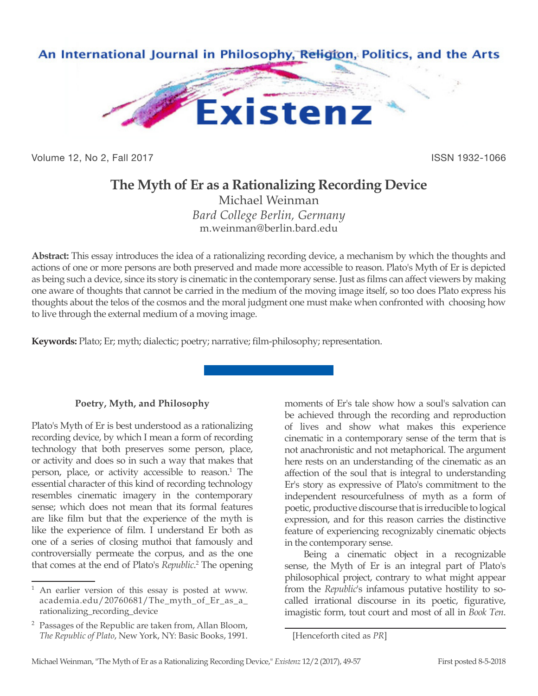

Volume 12, No 2, Fall 2017 **ISSN 1932-1066** 

## **The Myth of Er as a Rationalizing Recording Device**

Michael Weinman *Bard College Berlin, Germany* m.weinman@berlin.bard.edu

**Abstract:** This essay introduces the idea of a rationalizing recording device, a mechanism by which the thoughts and actions of one or more persons are both preserved and made more accessible to reason. Plato's Myth of Er is depicted as being such a device, since its story is cinematic in the contemporary sense. Just as films can affect viewers by making one aware of thoughts that cannot be carried in the medium of the moving image itself, so too does Plato express his thoughts about the telos of the cosmos and the moral judgment one must make when confronted with choosing how to live through the external medium of a moving image.

**Keywords:** Plato; Er; myth; dialectic; poetry; narrative; film-philosophy; representation.

## **Poetry, Myth, and Philosophy**

Plato's Myth of Er is best understood as a rationalizing recording device, by which I mean a form of recording technology that both preserves some person, place, or activity and does so in such a way that makes that person, place, or activity accessible to reason.<sup>1</sup> The essential character of this kind of recording technology resembles cinematic imagery in the contemporary sense; which does not mean that its formal features are like film but that the experience of the myth is like the experience of film. I understand Er both as one of a series of closing muthoi that famously and controversially permeate the corpus, and as the one that comes at the end of Plato's *Republic*. 2 The opening moments of Er's tale show how a soul's salvation can be achieved through the recording and reproduction of lives and show what makes this experience cinematic in a contemporary sense of the term that is not anachronistic and not metaphorical. The argument here rests on an understanding of the cinematic as an affection of the soul that is integral to understanding Er's story as expressive of Plato's commitment to the independent resourcefulness of myth as a form of poetic, productive discourse that is irreducible to logical expression, and for this reason carries the distinctive feature of experiencing recognizably cinematic objects in the contemporary sense.

Being a cinematic object in a recognizable sense, the Myth of Er is an integral part of Plato's philosophical project, contrary to what might appear from the *Republic*'s infamous putative hostility to socalled irrational discourse in its poetic, figurative, imagistic form, tout court and most of all in *Book Ten*.

An earlier version of this essay is posted at www. academia.edu/20760681/The\_myth\_of\_Er\_as\_a\_ rationalizing\_recording\_device

<sup>2</sup> Passages of the Republic are taken from, Allan Bloom, *The Republic of Plato*, New York, NY: Basic Books, 1991.

<sup>[</sup>Henceforth cited as *PR*]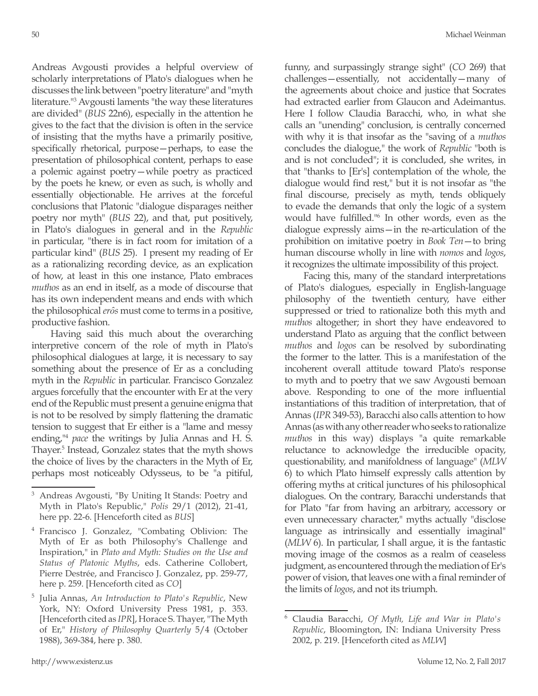Andreas Avgousti provides a helpful overview of scholarly interpretations of Plato's dialogues when he discusses the link between "poetry literature" and "myth literature."3 Avgousti laments "the way these literatures are divided" (*BUS* 22n6), especially in the attention he gives to the fact that the division is often in the service of insisting that the myths have a primarily positive, specifically rhetorical, purpose—perhaps, to ease the presentation of philosophical content, perhaps to ease a polemic against poetry—while poetry as practiced by the poets he knew, or even as such, is wholly and essentially objectionable. He arrives at the forceful conclusions that Platonic "dialogue disparages neither poetry nor myth" (*BUS* 22), and that, put positively, in Plato's dialogues in general and in the *Republic* in particular, "there is in fact room for imitation of a particular kind" (*BUS* 25). I present my reading of Er as a rationalizing recording device, as an explication of how, at least in this one instance, Plato embraces *muthos* as an end in itself, as a mode of discourse that has its own independent means and ends with which the philosophical *erôs* must come to terms in a positive, productive fashion.

Having said this much about the overarching interpretive concern of the role of myth in Plato's philosophical dialogues at large, it is necessary to say something about the presence of Er as a concluding myth in the *Republic* in particular. Francisco Gonzalez argues forcefully that the encounter with Er at the very end of the Republic must present a genuine enigma that is not to be resolved by simply flattening the dramatic tension to suggest that Er either is a "lame and messy ending,"4 *pace* the writings by Julia Annas and H. S. Thayer.5 Instead, Gonzalez states that the myth shows the choice of lives by the characters in the Myth of Er, perhaps most noticeably Odysseus, to be "a pitiful,

funny, and surpassingly strange sight" (*CO* 269) that challenges—essentially, not accidentally—many of the agreements about choice and justice that Socrates had extracted earlier from Glaucon and Adeimantus. Here I follow Claudia Baracchi, who, in what she calls an "unending" conclusion, is centrally concerned with why it is that insofar as the "saving of a *muthos*  concludes the dialogue," the work of *Republic* "both is and is not concluded"; it is concluded, she writes, in that "thanks to [Er's] contemplation of the whole, the dialogue would find rest," but it is not insofar as "the final discourse, precisely as myth, tends obliquely to evade the demands that only the logic of a system would have fulfilled."<sup>6</sup> In other words, even as the dialogue expressly aims—in the re-articulation of the prohibition on imitative poetry in *Book Ten*—to bring human discourse wholly in line with *nomos* and *logos*, it recognizes the ultimate impossibility of this project.

Facing this, many of the standard interpretations of Plato's dialogues, especially in English-language philosophy of the twentieth century, have either suppressed or tried to rationalize both this myth and *muthos* altogether; in short they have endeavored to understand Plato as arguing that the conflict between *muthos* and *logos* can be resolved by subordinating the former to the latter. This is a manifestation of the incoherent overall attitude toward Plato's response to myth and to poetry that we saw Avgousti bemoan above. Responding to one of the more influential instantiations of this tradition of interpretation, that of Annas (*IPR* 349-53), Baracchi also calls attention to how Annas (as with any other reader who seeks to rationalize *muthos* in this way) displays "a quite remarkable reluctance to acknowledge the irreducible opacity, questionability, and manifoldness of language" (*MLW* 6) to which Plato himself expressly calls attention by offering myths at critical junctures of his philosophical dialogues. On the contrary, Baracchi understands that for Plato "far from having an arbitrary, accessory or even unnecessary character," myths actually "disclose language as intrinsically and essentially imaginal" (*MLW* 6). In particular, I shall argue, it is the fantastic moving image of the cosmos as a realm of ceaseless judgment, as encountered through the mediation of Er's power of vision, that leaves one with a final reminder of the limits of *logos*, and not its triumph.

<sup>3</sup> Andreas Avgousti, "By Uniting It Stands: Poetry and Myth in Plato's Republic," *Polis* 29/1 (2012), 21-41, here pp. 22-6. [Henceforth cited as *BUS*]

<sup>4</sup> Francisco J. Gonzalez, "Combating Oblivion: The Myth of Er as both Philosophy's Challenge and Inspiration," in *Plato and Myth: Studies on the Use and Status of Platonic Myths*, eds. Catherine Collobert, Pierre Destrée, and Francisco J. Gonzalez, pp. 259-77, here p. 259. [Henceforth cited as *CO*]

<sup>5</sup> Julia Annas, *An Introduction to Plato's Republic*, New York, NY: Oxford University Press 1981, p. 353. [Henceforth cited as *IPR*], Horace S. Thayer, "The Myth of Er," *History of Philosophy Quarterly* 5/4 (October 1988), 369-384, here p. 380.

<sup>6</sup> Claudia Baracchi, *Of Myth, Life and War in Plato's Republic*, Bloomington, IN: Indiana University Press 2002, p. 219. [Henceforth cited as *MLW*]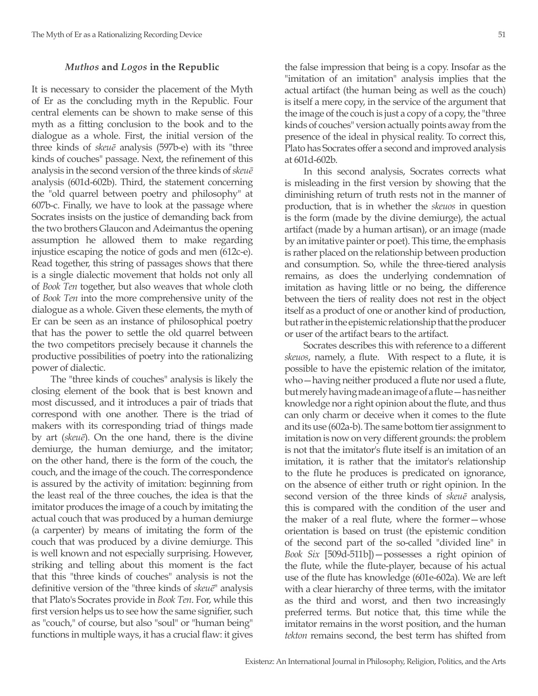## *Muthos* **and** *Logos* **in the Republic**

It is necessary to consider the placement of the Myth of Er as the concluding myth in the Republic. Four central elements can be shown to make sense of this myth as a fitting conclusion to the book and to the dialogue as a whole. First, the initial version of the three kinds of *skeuē* analysis (597b-e) with its "three kinds of couches" passage. Next, the refinement of this analysis in the second version of the three kinds of *skeuē* analysis (601d-602b). Third, the statement concerning the "old quarrel between poetry and philosophy" at 607b-c. Finally, we have to look at the passage where Socrates insists on the justice of demanding back from the two brothers Glaucon and Adeimantus the opening assumption he allowed them to make regarding injustice escaping the notice of gods and men (612c-e). Read together, this string of passages shows that there is a single dialectic movement that holds not only all of *Book Ten* together, but also weaves that whole cloth of *Book Ten* into the more comprehensive unity of the dialogue as a whole. Given these elements, the myth of Er can be seen as an instance of philosophical poetry that has the power to settle the old quarrel between the two competitors precisely because it channels the productive possibilities of poetry into the rationalizing power of dialectic.

The "three kinds of couches" analysis is likely the closing element of the book that is best known and most discussed, and it introduces a pair of triads that correspond with one another. There is the triad of makers with its corresponding triad of things made by art (*skeuē*). On the one hand, there is the divine demiurge, the human demiurge, and the imitator; on the other hand, there is the form of the couch, the couch, and the image of the couch. The correspondence is assured by the activity of imitation: beginning from the least real of the three couches, the idea is that the imitator produces the image of a couch by imitating the actual couch that was produced by a human demiurge (a carpenter) by means of imitating the form of the couch that was produced by a divine demiurge. This is well known and not especially surprising. However, striking and telling about this moment is the fact that this "three kinds of couches" analysis is not the definitive version of the "three kinds of *skeuē*" analysis that Plato's Socrates provide in *Book Ten*. For, while this first version helps us to see how the same signifier, such as "couch," of course, but also "soul" or "human being" functions in multiple ways, it has a crucial flaw: it gives

the false impression that being is a copy. Insofar as the "imitation of an imitation" analysis implies that the actual artifact (the human being as well as the couch) is itself a mere copy, in the service of the argument that the image of the couch is just a copy of a copy, the "three kinds of couches" version actually points away from the presence of the ideal in physical reality. To correct this, Plato has Socrates offer a second and improved analysis at 601d-602b.

In this second analysis, Socrates corrects what is misleading in the first version by showing that the diminishing return of truth rests not in the manner of production, that is in whether the *skeuos* in question is the form (made by the divine demiurge), the actual artifact (made by a human artisan), or an image (made by an imitative painter or poet). This time, the emphasis is rather placed on the relationship between production and consumption. So, while the three-tiered analysis remains, as does the underlying condemnation of imitation as having little or no being, the difference between the tiers of reality does not rest in the object itself as a product of one or another kind of production, but rather in the epistemic relationship that the producer or user of the artifact bears to the artifact.

Socrates describes this with reference to a different *skeuos*, namely, a flute. With respect to a flute, it is possible to have the epistemic relation of the imitator, who—having neither produced a flute nor used a flute, but merely having made an image of a flute—has neither knowledge nor a right opinion about the flute, and thus can only charm or deceive when it comes to the flute and its use (602a-b). The same bottom tier assignment to imitation is now on very different grounds: the problem is not that the imitator's flute itself is an imitation of an imitation, it is rather that the imitator's relationship to the flute he produces is predicated on ignorance, on the absence of either truth or right opinion. In the second version of the three kinds of *skeuē* analysis, this is compared with the condition of the user and the maker of a real flute, where the former—whose orientation is based on trust (the epistemic condition of the second part of the so-called "divided line" in *Book Six* [509d-511b])—possesses a right opinion of the flute, while the flute-player, because of his actual use of the flute has knowledge (601e-602a). We are left with a clear hierarchy of three terms, with the imitator as the third and worst, and then two increasingly preferred terms. But notice that, this time while the imitator remains in the worst position, and the human *tekton* remains second, the best term has shifted from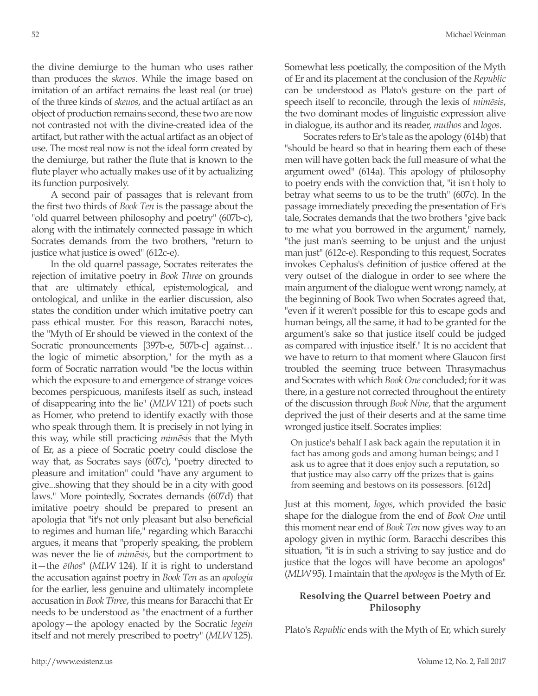the divine demiurge to the human who uses rather than produces the *skeuos*. While the image based on imitation of an artifact remains the least real (or true) of the three kinds of *skeuos*, and the actual artifact as an object of production remains second, these two are now not contrasted not with the divine-created idea of the artifact, but rather with the actual artifact as an object of use. The most real now is not the ideal form created by the demiurge, but rather the flute that is known to the flute player who actually makes use of it by actualizing its function purposively.

A second pair of passages that is relevant from the first two thirds of *Book Ten* is the passage about the "old quarrel between philosophy and poetry" (607b-c), along with the intimately connected passage in which Socrates demands from the two brothers, "return to justice what justice is owed" (612c-e).

In the old quarrel passage, Socrates reiterates the rejection of imitative poetry in *Book Three* on grounds that are ultimately ethical, epistemological, and ontological, and unlike in the earlier discussion, also states the condition under which imitative poetry can pass ethical muster. For this reason, Baracchi notes, the "Myth of Er should be viewed in the context of the Socratic pronouncements [397b-e, 507b-c] against… the logic of mimetic absorption," for the myth as a form of Socratic narration would "be the locus within which the exposure to and emergence of strange voices becomes perspicuous, manifests itself as such, instead of disappearing into the lie" (*MLW* 121) of poets such as Homer, who pretend to identify exactly with those who speak through them. It is precisely in not lying in this way, while still practicing *mimēsis* that the Myth of Er, as a piece of Socratic poetry could disclose the way that, as Socrates says (607c), "poetry directed to pleasure and imitation" could "have any argument to give...showing that they should be in a city with good laws." More pointedly, Socrates demands (607d) that imitative poetry should be prepared to present an apologia that "it's not only pleasant but also beneficial to regimes and human life," regarding which Baracchi argues, it means that "properly speaking, the problem was never the lie of *mimēsis*, but the comportment to it—the *ēthos*" (*MLW* 124). If it is right to understand the accusation against poetry in *Book Ten* as an *apologia* for the earlier, less genuine and ultimately incomplete accusation in *Book Three*, this means for Baracchi that Er needs to be understood as "the enactment of a further apology—the apology enacted by the Socratic *legein* itself and not merely prescribed to poetry" (*MLW* 125).

Somewhat less poetically, the composition of the Myth of Er and its placement at the conclusion of the *Republic* can be understood as Plato's gesture on the part of speech itself to reconcile, through the lexis of *mimēsis*, the two dominant modes of linguistic expression alive in dialogue, its author and its reader, *muthos* and *logos*.

Socrates refers to Er's tale as the apology (614b) that "should be heard so that in hearing them each of these men will have gotten back the full measure of what the argument owed" (614a). This apology of philosophy to poetry ends with the conviction that, "it isn't holy to betray what seems to us to be the truth" (607c). In the passage immediately preceding the presentation of Er's tale, Socrates demands that the two brothers "give back to me what you borrowed in the argument," namely, "the just man's seeming to be unjust and the unjust man just" (612c-e). Responding to this request, Socrates invokes Cephalus's definition of justice offered at the very outset of the dialogue in order to see where the main argument of the dialogue went wrong; namely, at the beginning of Book Two when Socrates agreed that, "even if it weren't possible for this to escape gods and human beings, all the same, it had to be granted for the argument's sake so that justice itself could be judged as compared with injustice itself." It is no accident that we have to return to that moment where Glaucon first troubled the seeming truce between Thrasymachus and Socrates with which *Book One* concluded; for it was there, in a gesture not corrected throughout the entirety of the discussion through *Book Nine*, that the argument deprived the just of their deserts and at the same time wronged justice itself. Socrates implies:

On justice's behalf I ask back again the reputation it in fact has among gods and among human beings; and I ask us to agree that it does enjoy such a reputation, so that justice may also carry off the prizes that is gains from seeming and bestows on its possessors. [612d]

Just at this moment, *logos*, which provided the basic shape for the dialogue from the end of *Book One* until this moment near end of *Book Ten* now gives way to an apology given in mythic form. Baracchi describes this situation, "it is in such a striving to say justice and do justice that the logos will have become an apologos" (*MLW* 95). I maintain that the *apologos* is the Myth of Er.

## **Resolving the Quarrel between Poetry and Philosophy**

Plato's *Republic* ends with the Myth of Er, which surely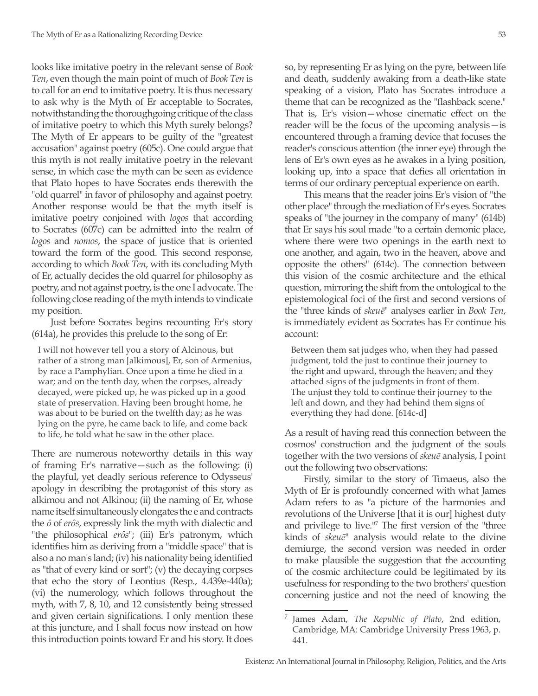looks like imitative poetry in the relevant sense of *Book Ten*, even though the main point of much of *Book Ten* is to call for an end to imitative poetry. It is thus necessary to ask why is the Myth of Er acceptable to Socrates, notwithstanding the thoroughgoing critique of the class of imitative poetry to which this Myth surely belongs? The Myth of Er appears to be guilty of the "greatest accusation" against poetry (605c). One could argue that this myth is not really imitative poetry in the relevant sense, in which case the myth can be seen as evidence that Plato hopes to have Socrates ends therewith the "old quarrel" in favor of philosophy and against poetry. Another response would be that the myth itself is imitative poetry conjoined with *logos* that according to Socrates (607c) can be admitted into the realm of *logos* and *nomos*, the space of justice that is oriented toward the form of the good. This second response, according to which *Book Ten*, with its concluding Myth of Er, actually decides the old quarrel for philosophy as poetry, and not against poetry, is the one I advocate. The following close reading of the myth intends to vindicate my position.

Just before Socrates begins recounting Er's story (614a), he provides this prelude to the song of Er:

I will not however tell you a story of Alcinous, but rather of a strong man [alkimous], Er, son of Armenius, by race a Pamphylian. Once upon a time he died in a war; and on the tenth day, when the corpses, already decayed, were picked up, he was picked up in a good state of preservation. Having been brought home, he was about to be buried on the twelfth day; as he was lying on the pyre, he came back to life, and come back to life, he told what he saw in the other place.

There are numerous noteworthy details in this way of framing Er's narrative—such as the following: (i) the playful, yet deadly serious reference to Odysseus' apology in describing the protagonist of this story as alkimou and not Alkinou; (ii) the naming of Er, whose name itself simultaneously elongates the e and contracts the *ȏ* of *erȏs*, expressly link the myth with dialectic and "the philosophical *erôs*"; (iii) Er's patronym, which identifies him as deriving from a "middle space" that is also a no man's land; (iv) his nationality being identified as "that of every kind or sort"; (v) the decaying corpses that echo the story of Leontius (Resp., 4.439e-440a); (vi) the numerology, which follows throughout the myth, with 7, 8, 10, and 12 consistently being stressed and given certain significations. I only mention these at this juncture, and I shall focus now instead on how this introduction points toward Er and his story. It does

so, by representing Er as lying on the pyre, between life and death, suddenly awaking from a death-like state speaking of a vision, Plato has Socrates introduce a theme that can be recognized as the "flashback scene." That is, Er's vision—whose cinematic effect on the reader will be the focus of the upcoming analysis—is encountered through a framing device that focuses the reader's conscious attention (the inner eye) through the lens of Er's own eyes as he awakes in a lying position, looking up, into a space that defies all orientation in terms of our ordinary perceptual experience on earth.

This means that the reader joins Er's vision of "the other place" through the mediation of Er's eyes. Socrates speaks of "the journey in the company of many" (614b) that Er says his soul made "to a certain demonic place, where there were two openings in the earth next to one another, and again, two in the heaven, above and opposite the others" (614c). The connection between this vision of the cosmic architecture and the ethical question, mirroring the shift from the ontological to the epistemological foci of the first and second versions of the "three kinds of *skeuē*" analyses earlier in *Book Ten*, is immediately evident as Socrates has Er continue his account:

Between them sat judges who, when they had passed judgment, told the just to continue their journey to the right and upward, through the heaven; and they attached signs of the judgments in front of them. The unjust they told to continue their journey to the left and down, and they had behind them signs of everything they had done. [614c-d]

As a result of having read this connection between the cosmos' construction and the judgment of the souls together with the two versions of *skeuē* analysis, I point out the following two observations:

Firstly, similar to the story of Timaeus, also the Myth of Er is profoundly concerned with what James Adam refers to as "a picture of the harmonies and revolutions of the Universe [that it is our] highest duty and privilege to live."7 The first version of the "three kinds of *skeuē*" analysis would relate to the divine demiurge, the second version was needed in order to make plausible the suggestion that the accounting of the cosmic architecture could be legitimated by its usefulness for responding to the two brothers' question concerning justice and not the need of knowing the

<sup>7</sup> James Adam, *The Republic of Plato*, 2nd edition, Cambridge, MA: Cambridge University Press 1963, p. 441.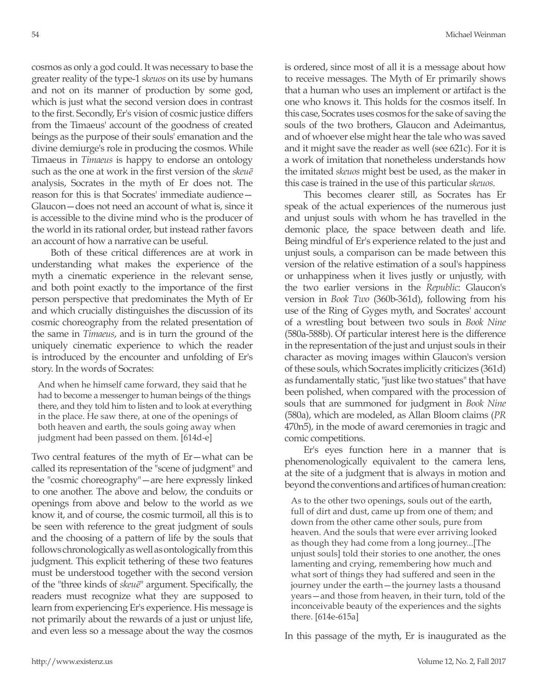cosmos as only a god could. It was necessary to base the greater reality of the type-1 *skeuos* on its use by humans and not on its manner of production by some god, which is just what the second version does in contrast to the first. Secondly, Er's vision of cosmic justice differs from the Timaeus' account of the goodness of created beings as the purpose of their souls' emanation and the divine demiurge's role in producing the cosmos. While Timaeus in *Timaeus* is happy to endorse an ontology such as the one at work in the first version of the *skeuē* analysis, Socrates in the myth of Er does not. The reason for this is that Socrates' immediate audience— Glaucon—does not need an account of what is, since it is accessible to the divine mind who is the producer of the world in its rational order, but instead rather favors an account of how a narrative can be useful.

Both of these critical differences are at work in understanding what makes the experience of the myth a cinematic experience in the relevant sense, and both point exactly to the importance of the first person perspective that predominates the Myth of Er and which crucially distinguishes the discussion of its cosmic choreography from the related presentation of the same in *Timaeus*, and is in turn the ground of the uniquely cinematic experience to which the reader is introduced by the encounter and unfolding of Er's story. In the words of Socrates:

And when he himself came forward, they said that he had to become a messenger to human beings of the things there, and they told him to listen and to look at everything in the place. He saw there, at one of the openings of both heaven and earth, the souls going away when judgment had been passed on them. [614d-e]

Two central features of the myth of Er—what can be called its representation of the "scene of judgment" and the "cosmic choreography"—are here expressly linked to one another. The above and below, the conduits or openings from above and below to the world as we know it, and of course, the cosmic turmoil, all this is to be seen with reference to the great judgment of souls and the choosing of a pattern of life by the souls that follows chronologically as well as ontologically from this judgment. This explicit tethering of these two features must be understood together with the second version of the "three kinds of *skeuē*" argument. Specifically, the readers must recognize what they are supposed to learn from experiencing Er's experience. His message is not primarily about the rewards of a just or unjust life, and even less so a message about the way the cosmos

is ordered, since most of all it is a message about how to receive messages. The Myth of Er primarily shows that a human who uses an implement or artifact is the one who knows it. This holds for the cosmos itself. In this case, Socrates uses cosmos for the sake of saving the souls of the two brothers, Glaucon and Adeimantus, and of whoever else might hear the tale who was saved and it might save the reader as well (see 621c). For it is a work of imitation that nonetheless understands how the imitated *skeuos* might best be used, as the maker in this case is trained in the use of this particular *skeuos*.

This becomes clearer still, as Socrates has Er speak of the actual experiences of the numerous just and unjust souls with whom he has travelled in the demonic place, the space between death and life. Being mindful of Er's experience related to the just and unjust souls, a comparison can be made between this version of the relative estimation of a soul's happiness or unhappiness when it lives justly or unjustly, with the two earlier versions in the *Republic*: Glaucon's version in *Book Two* (360b-361d), following from his use of the Ring of Gyges myth, and Socrates' account of a wrestling bout between two souls in *Book Nine*  (580a-588b). Of particular interest here is the difference in the representation of the just and unjust souls in their character as moving images within Glaucon's version of these souls, which Socrates implicitly criticizes (361d) as fundamentally static, "just like two statues" that have been polished, when compared with the procession of souls that are summoned for judgment in *Book Nine*  (580a), which are modeled, as Allan Bloom claims (*PR*  470n5), in the mode of award ceremonies in tragic and comic competitions.

Er's eyes function here in a manner that is phenomenologically equivalent to the camera lens, at the site of a judgment that is always in motion and beyond the conventions and artifices of human creation:

As to the other two openings, souls out of the earth, full of dirt and dust, came up from one of them; and down from the other came other souls, pure from heaven. And the souls that were ever arriving looked as though they had come from a long journey...[The unjust souls] told their stories to one another, the ones lamenting and crying, remembering how much and what sort of things they had suffered and seen in the journey under the earth—the journey lasts a thousand years—and those from heaven, in their turn, told of the inconceivable beauty of the experiences and the sights there. [614e-615a]

In this passage of the myth, Er is inaugurated as the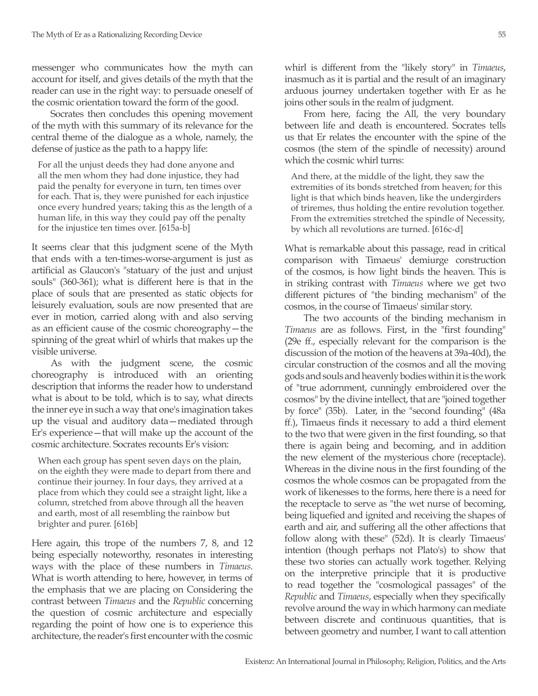messenger who communicates how the myth can account for itself, and gives details of the myth that the reader can use in the right way: to persuade oneself of the cosmic orientation toward the form of the good.

Socrates then concludes this opening movement of the myth with this summary of its relevance for the central theme of the dialogue as a whole, namely, the defense of justice as the path to a happy life:

For all the unjust deeds they had done anyone and all the men whom they had done injustice, they had paid the penalty for everyone in turn, ten times over for each. That is, they were punished for each injustice once every hundred years; taking this as the length of a human life, in this way they could pay off the penalty for the injustice ten times over. [615a-b]

It seems clear that this judgment scene of the Myth that ends with a ten-times-worse-argument is just as artificial as Glaucon's "statuary of the just and unjust souls" (360-361); what is different here is that in the place of souls that are presented as static objects for leisurely evaluation, souls are now presented that are ever in motion, carried along with and also serving as an efficient cause of the cosmic choreography—the spinning of the great whirl of whirls that makes up the visible universe.

As with the judgment scene, the cosmic choreography is introduced with an orienting description that informs the reader how to understand what is about to be told, which is to say, what directs the inner eye in such a way that one's imagination takes up the visual and auditory data—mediated through Er's experience—that will make up the account of the cosmic architecture. Socrates recounts Er's vision:

When each group has spent seven days on the plain, on the eighth they were made to depart from there and continue their journey. In four days, they arrived at a place from which they could see a straight light, like a column, stretched from above through all the heaven and earth, most of all resembling the rainbow but brighter and purer. [616b]

Here again, this trope of the numbers 7, 8, and 12 being especially noteworthy, resonates in interesting ways with the place of these numbers in *Timaeus*. What is worth attending to here, however, in terms of the emphasis that we are placing on Considering the contrast between *Timaeus* and the *Republic* concerning the question of cosmic architecture and especially regarding the point of how one is to experience this architecture, the reader's first encounter with the cosmic whirl is different from the "likely story" in *Timaeus*, inasmuch as it is partial and the result of an imaginary arduous journey undertaken together with Er as he joins other souls in the realm of judgment.

From here, facing the All, the very boundary between life and death is encountered. Socrates tells us that Er relates the encounter with the spine of the cosmos (the stem of the spindle of necessity) around which the cosmic whirl turns:

And there, at the middle of the light, they saw the extremities of its bonds stretched from heaven; for this light is that which binds heaven, like the undergirders of triremes, thus holding the entire revolution together. From the extremities stretched the spindle of Necessity, by which all revolutions are turned. [616c-d]

What is remarkable about this passage, read in critical comparison with Timaeus' demiurge construction of the cosmos, is how light binds the heaven. This is in striking contrast with *Timaeus* where we get two different pictures of "the binding mechanism" of the cosmos, in the course of Timaeus' similar story.

The two accounts of the binding mechanism in *Timaeus* are as follows. First, in the "first founding" (29e ff., especially relevant for the comparison is the discussion of the motion of the heavens at 39a-40d), the circular construction of the cosmos and all the moving gods and souls and heavenly bodies within it is the work of "true adornment, cunningly embroidered over the cosmos" by the divine intellect, that are "joined together by force" (35b). Later, in the "second founding" (48a ff.), Timaeus finds it necessary to add a third element to the two that were given in the first founding, so that there is again being and becoming, and in addition the new element of the mysterious chore (receptacle). Whereas in the divine nous in the first founding of the cosmos the whole cosmos can be propagated from the work of likenesses to the forms, here there is a need for the receptacle to serve as "the wet nurse of becoming, being liquefied and ignited and receiving the shapes of earth and air, and suffering all the other affections that follow along with these" (52d). It is clearly Timaeus' intention (though perhaps not Plato's) to show that these two stories can actually work together. Relying on the interpretive principle that it is productive to read together the "cosmological passages" of the *Republic* and *Timaeus*, especially when they specifically revolve around the way in which harmony can mediate between discrete and continuous quantities, that is between geometry and number, I want to call attention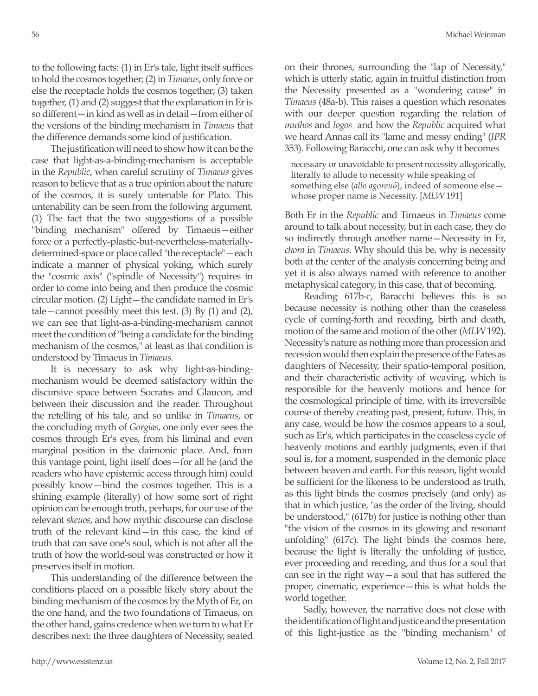to the following facts: (1) in Er's tale, light itself suffices to hold the cosmos together; (2) in *Timaeus*, only force or else the receptacle holds the cosmos together; (3) taken together, (1) and (2) suggest that the explanation in Er is so different—in kind as well as in detail—from either of the versions of the binding mechanism in *Timaeus* that the difference demands some kind of justification.

The justification will need to show how it can be the case that light-as-a-binding-mechanism is acceptable in the *Republic*, when careful scrutiny of *Timaeus* gives reason to believe that as a true opinion about the nature of the cosmos, it is surely untenable for Plato. This untenability can be seen from the following argument. (1) The fact that the two suggestions of a possible "binding mechanism" offered by Timaeus—either force or a perfectly-plastic-but-nevertheless-materiallydetermined-space or place called "the receptacle"—each indicate a manner of physical yoking, which surely the "cosmic axis" ("spindle of Necessity") requires in order to come into being and then produce the cosmic circular motion. (2) Light—the candidate named in Er's tale—cannot possibly meet this test.  $(3)$  By  $(1)$  and  $(2)$ , we can see that light-as-a-binding-mechanism cannot meet the condition of "being a candidate for the binding mechanism of the cosmos," at least as that condition is understood by Timaeus in *Timaeus*.

It is necessary to ask why light-as-bindingmechanism would be deemed satisfactory within the discursive space between Socrates and Glaucon, and between their discussion and the reader. Throughout the retelling of his tale, and so unlike in *Timaeus*, or the concluding myth of *Gorgias*, one only ever sees the cosmos through Er's eyes, from his liminal and even marginal position in the daimonic place. And, from this vantage point, light itself does—for all he (and the readers who have epistemic access through him) could possibly know—bind the cosmos together. This is a shining example (literally) of how some sort of right opinion can be enough truth, perhaps, for our use of the relevant *skeuos*, and how mythic discourse can disclose truth of the relevant kind—in this case, the kind of truth that can save one's soul, which is not after all the truth of how the world-soul was constructed or how it preserves itself in motion.

This understanding of the difference between the conditions placed on a possible likely story about the binding mechanism of the cosmos by the Myth of Er, on the one hand, and the two foundations of Timaeus, on the other hand, gains credence when we turn to what Er describes next: the three daughters of Necessity, seated on their thrones, surrounding the "lap of Necessity," which is utterly static, again in fruitful distinction from the Necessity presented as a "wondering cause" in *Timaeus* (48a-b). This raises a question which resonates with our deeper question regarding the relation of *muthos* and *logos* and how the *Republic* acquired what we heard Annas call its "lame and messy ending" (*IPR* 353). Following Baracchi, one can ask why it becomes

necessary or unavoidable to present necessity allegorically, literally to allude to necessity while speaking of something else (*allo agoreuô*), indeed of someone else whose proper name is Necessity. [*MLW* 191]

Both Er in the *Republic* and Timaeus in *Timaeus* come around to talk about necessity, but in each case, they do so indirectly through another name—Necessity in Er, *chora* in *Timaeus*. Why should this be, why is necessity both at the center of the analysis concerning being and yet it is also always named with reference to another metaphysical category, in this case, that of becoming.

Reading 617b-c, Baracchi believes this is so because necessity is nothing other than the ceaseless cycle of coming-forth and receding, birth and death, motion of the same and motion of the other (*MLW* 192). Necessity's nature as nothing more than procession and recession would then explain the presence of the Fates as daughters of Necessity, their spatio-temporal position, and their characteristic activity of weaving, which is responsible for the heavenly motions and hence for the cosmological principle of time, with its irreversible course of thereby creating past, present, future. This, in any case, would be how the cosmos appears to a soul, such as Er's, which participates in the ceaseless cycle of heavenly motions and earthly judgments, even if that soul is, for a moment, suspended in the demonic place between heaven and earth. For this reason, light would be sufficient for the likeness to be understood as truth, as this light binds the cosmos precisely (and only) as that in which justice, "as the order of the living, should be understood," (617b) for justice is nothing other than "the vision of the cosmos in its glowing and resonant unfolding" (617c). The light binds the cosmos here, because the light is literally the unfolding of justice, ever proceeding and receding, and thus for a soul that can see in the right way—a soul that has suffered the proper, cinematic, experience—this is what holds the world together.

Sadly, however, the narrative does not close with the identification of light and justice and the presentation of this light-justice as the "binding mechanism" of